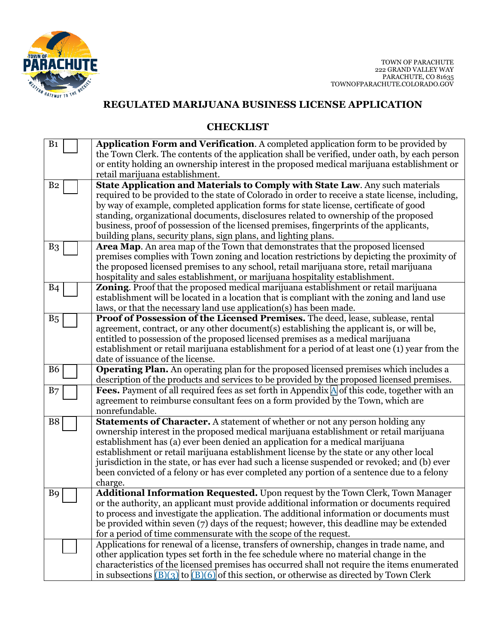

# **REGULATED MARIJUANA BUSINESS LICENSE APPLICATION**

#### **CHECKLIST**

| B <sub>1</sub> | <b>Application Form and Verification.</b> A completed application form to be provided by                                                                                |
|----------------|-------------------------------------------------------------------------------------------------------------------------------------------------------------------------|
|                | the Town Clerk. The contents of the application shall be verified, under oath, by each person                                                                           |
|                | or entity holding an ownership interest in the proposed medical marijuana establishment or                                                                              |
|                | retail marijuana establishment.                                                                                                                                         |
| B <sub>2</sub> | State Application and Materials to Comply with State Law. Any such materials                                                                                            |
|                | required to be provided to the state of Colorado in order to receive a state license, including,                                                                        |
|                | by way of example, completed application forms for state license, certificate of good                                                                                   |
|                | standing, organizational documents, disclosures related to ownership of the proposed                                                                                    |
|                | business, proof of possession of the licensed premises, fingerprints of the applicants,                                                                                 |
|                | building plans, security plans, sign plans, and lighting plans.                                                                                                         |
| B <sub>3</sub> | Area Map. An area map of the Town that demonstrates that the proposed licensed                                                                                          |
|                | premises complies with Town zoning and location restrictions by depicting the proximity of                                                                              |
|                | the proposed licensed premises to any school, retail marijuana store, retail marijuana                                                                                  |
|                | hospitality and sales establishment, or marijuana hospitality establishment.                                                                                            |
| <b>B</b> 4     | <b>Zoning.</b> Proof that the proposed medical marijuana establishment or retail marijuana                                                                              |
|                | establishment will be located in a location that is compliant with the zoning and land use                                                                              |
|                | laws, or that the necessary land use application(s) has been made.                                                                                                      |
| B <sub>5</sub> | Proof of Possession of the Licensed Premises. The deed, lease, sublease, rental                                                                                         |
|                | agreement, contract, or any other document(s) establishing the applicant is, or will be,                                                                                |
|                | entitled to possession of the proposed licensed premises as a medical marijuana                                                                                         |
|                | establishment or retail marijuana establishment for a period of at least one (1) year from the                                                                          |
|                | date of issuance of the license.                                                                                                                                        |
| <b>B6</b>      | Operating Plan. An operating plan for the proposed licensed premises which includes a                                                                                   |
|                | description of the products and services to be provided by the proposed licensed premises.                                                                              |
| B7             | <b>Fees.</b> Payment of all required fees as set forth in Appendix $\Delta$ of this code, together with an                                                              |
|                | agreement to reimburse consultant fees on a form provided by the Town, which are                                                                                        |
|                | nonrefundable.                                                                                                                                                          |
| B8             | <b>Statements of Character.</b> A statement of whether or not any person holding any                                                                                    |
|                | ownership interest in the proposed medical marijuana establishment or retail marijuana<br>establishment has (a) ever been denied an application for a medical marijuana |
|                | establishment or retail marijuana establishment license by the state or any other local                                                                                 |
|                | jurisdiction in the state, or has ever had such a license suspended or revoked; and (b) ever                                                                            |
|                | been convicted of a felony or has ever completed any portion of a sentence due to a felony                                                                              |
|                | charge.                                                                                                                                                                 |
| B <sub>9</sub> | Additional Information Requested. Upon request by the Town Clerk, Town Manager                                                                                          |
|                | or the authority, an applicant must provide additional information or documents required                                                                                |
|                | to process and investigate the application. The additional information or documents must                                                                                |
|                | be provided within seven (7) days of the request; however, this deadline may be extended                                                                                |
|                | for a period of time commensurate with the scope of the request.                                                                                                        |
|                | Applications for renewal of a license, transfers of ownership, changes in trade name, and                                                                               |
|                | other application types set forth in the fee schedule where no material change in the                                                                                   |
|                | characteristics of the licensed premises has occurred shall not require the items enumerated                                                                            |
|                | in subsections $(B)(3)$ to $(B)(6)$ of this section, or otherwise as directed by Town Clerk                                                                             |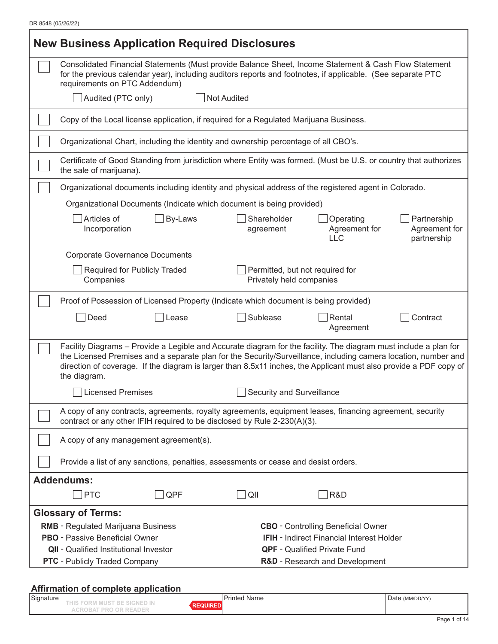| <b>New Business Application Required Disclosures</b>                                                                                                                                                                                                                                                                                                                    |                                                                                                                  |                                             |  |  |  |
|-------------------------------------------------------------------------------------------------------------------------------------------------------------------------------------------------------------------------------------------------------------------------------------------------------------------------------------------------------------------------|------------------------------------------------------------------------------------------------------------------|---------------------------------------------|--|--|--|
| Consolidated Financial Statements (Must provide Balance Sheet, Income Statement & Cash Flow Statement<br>for the previous calendar year), including auditors reports and footnotes, if applicable. (See separate PTC<br>requirements on PTC Addendum)                                                                                                                   |                                                                                                                  |                                             |  |  |  |
| Audited (PTC only)                                                                                                                                                                                                                                                                                                                                                      | <b>Not Audited</b>                                                                                               |                                             |  |  |  |
|                                                                                                                                                                                                                                                                                                                                                                         | Copy of the Local license application, if required for a Regulated Marijuana Business.                           |                                             |  |  |  |
|                                                                                                                                                                                                                                                                                                                                                                         | Organizational Chart, including the identity and ownership percentage of all CBO's.                              |                                             |  |  |  |
| the sale of marijuana).                                                                                                                                                                                                                                                                                                                                                 | Certificate of Good Standing from jurisdiction where Entity was formed. (Must be U.S. or country that authorizes |                                             |  |  |  |
|                                                                                                                                                                                                                                                                                                                                                                         | Organizational documents including identity and physical address of the registered agent in Colorado.            |                                             |  |  |  |
| Organizational Documents (Indicate which document is being provided)                                                                                                                                                                                                                                                                                                    |                                                                                                                  |                                             |  |  |  |
| Articles of<br>By-Laws<br>Incorporation                                                                                                                                                                                                                                                                                                                                 | Shareholder<br>Operating<br>Agreement for<br>agreement<br><b>LLC</b>                                             | Partnership<br>Agreement for<br>partnership |  |  |  |
| <b>Corporate Governance Documents</b>                                                                                                                                                                                                                                                                                                                                   |                                                                                                                  |                                             |  |  |  |
| Required for Publicly Traded<br>Companies                                                                                                                                                                                                                                                                                                                               | Permitted, but not required for<br>Privately held companies                                                      |                                             |  |  |  |
|                                                                                                                                                                                                                                                                                                                                                                         | Proof of Possession of Licensed Property (Indicate which document is being provided)                             |                                             |  |  |  |
| Deed<br>Lease                                                                                                                                                                                                                                                                                                                                                           | Sublease<br>Rental<br>Agreement                                                                                  | Contract                                    |  |  |  |
| Facility Diagrams – Provide a Legible and Accurate diagram for the facility. The diagram must include a plan for<br>the Licensed Premises and a separate plan for the Security/Surveillance, including camera location, number and<br>direction of coverage. If the diagram is larger than 8.5x11 inches, the Applicant must also provide a PDF copy of<br>the diagram. |                                                                                                                  |                                             |  |  |  |
| Licensed Premises                                                                                                                                                                                                                                                                                                                                                       | Security and Surveillance                                                                                        |                                             |  |  |  |
| contract or any other IFIH required to be disclosed by Rule 2-230(A)(3).                                                                                                                                                                                                                                                                                                | A copy of any contracts, agreements, royalty agreements, equipment leases, financing agreement, security         |                                             |  |  |  |
| A copy of any management agreement(s).                                                                                                                                                                                                                                                                                                                                  |                                                                                                                  |                                             |  |  |  |
| Provide a list of any sanctions, penalties, assessments or cease and desist orders.                                                                                                                                                                                                                                                                                     |                                                                                                                  |                                             |  |  |  |
| <b>Addendums:</b>                                                                                                                                                                                                                                                                                                                                                       |                                                                                                                  |                                             |  |  |  |
| <b>PTC</b><br>QPF                                                                                                                                                                                                                                                                                                                                                       | R&D<br>QII                                                                                                       |                                             |  |  |  |
| <b>Glossary of Terms:</b>                                                                                                                                                                                                                                                                                                                                               |                                                                                                                  |                                             |  |  |  |
| <b>RMB</b> - Regulated Marijuana Business                                                                                                                                                                                                                                                                                                                               | <b>CBO</b> - Controlling Beneficial Owner                                                                        |                                             |  |  |  |
| <b>PBO</b> - Passive Beneficial Owner                                                                                                                                                                                                                                                                                                                                   | <b>IFIH</b> - Indirect Financial Interest Holder                                                                 |                                             |  |  |  |
| <b>QII</b> - Qualified Institutional Investor                                                                                                                                                                                                                                                                                                                           | <b>QPF</b> - Qualified Private Fund                                                                              |                                             |  |  |  |
| <b>PTC</b> - Publicly Traded Company<br>R&D - Research and Development                                                                                                                                                                                                                                                                                                  |                                                                                                                  |                                             |  |  |  |

#### **Affirmation of complete application**

| Signature                                                   | ∵Name<br>rinted | . (MM/DD/YY)<br>Date |
|-------------------------------------------------------------|-----------------|----------------------|
| $\sim$<br>.<br>$\sim$<br><b>B</b> Boys<br>---<br>ヽレ ニ<br>-- |                 |                      |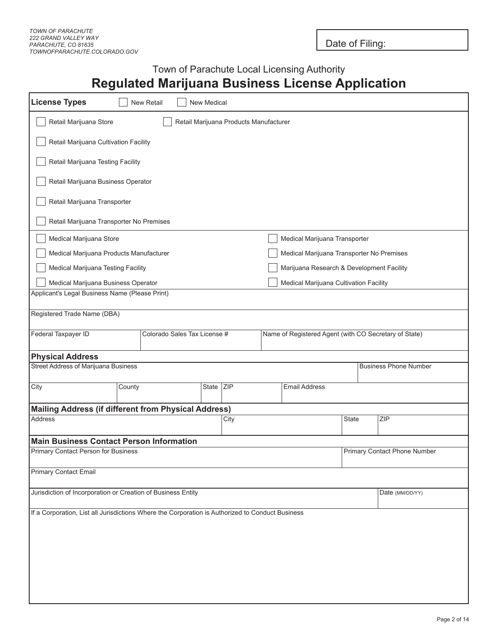Date of Filing:

## Town of Parachute Local Licensing Authority **Regulated Marijuana Business License Application**

| <b>License Types</b>                                                                             | New Retail                                                                      | New Medical                            |  |                                                       |       |                              |
|--------------------------------------------------------------------------------------------------|---------------------------------------------------------------------------------|----------------------------------------|--|-------------------------------------------------------|-------|------------------------------|
| Retail Marijuana Store                                                                           |                                                                                 | Retail Marijuana Products Manufacturer |  |                                                       |       |                              |
| Retail Marijuana Cultivation Facility                                                            |                                                                                 |                                        |  |                                                       |       |                              |
| Retail Marijuana Testing Facility                                                                |                                                                                 |                                        |  |                                                       |       |                              |
| Retail Marijuana Business Operator                                                               |                                                                                 |                                        |  |                                                       |       |                              |
| Retail Marijuana Transporter                                                                     |                                                                                 |                                        |  |                                                       |       |                              |
| Retail Marijuana Transporter No Premises                                                         |                                                                                 |                                        |  |                                                       |       |                              |
| Medical Marijuana Store                                                                          |                                                                                 |                                        |  | Medical Marijuana Transporter                         |       |                              |
| Medical Marijuana Products Manufacturer                                                          |                                                                                 |                                        |  | Medical Marijuana Transporter No Premises             |       |                              |
| Medical Marijuana Testing Facility                                                               |                                                                                 |                                        |  | Marijuana Research & Development Facility             |       |                              |
| Medical Marijuana Business Operator                                                              |                                                                                 |                                        |  | Medical Marijuana Cultivation Facility                |       |                              |
| Applicant's Legal Business Name (Please Print)                                                   |                                                                                 |                                        |  |                                                       |       |                              |
| Registered Trade Name (DBA)                                                                      |                                                                                 |                                        |  |                                                       |       |                              |
| Federal Taxpayer ID                                                                              | Colorado Sales Tax License #                                                    |                                        |  | Name of Registered Agent (with CO Secretary of State) |       |                              |
| <b>Physical Address</b>                                                                          |                                                                                 |                                        |  |                                                       |       |                              |
| <b>Street Address of Marijuana Business</b>                                                      |                                                                                 |                                        |  |                                                       |       | <b>Business Phone Number</b> |
| City                                                                                             | County                                                                          | State ZIP                              |  | <b>Email Address</b>                                  |       |                              |
| <b>Mailing Address (if different from Physical Address)</b>                                      |                                                                                 |                                        |  |                                                       |       |                              |
| Address                                                                                          |                                                                                 | City                                   |  |                                                       | State | ZIP                          |
| <b>Main Business Contact Person Information</b>                                                  |                                                                                 |                                        |  |                                                       |       |                              |
|                                                                                                  | Primary Contact Person for Business<br>Primary Contact Phone Number             |                                        |  |                                                       |       |                              |
| <b>Primary Contact Email</b>                                                                     |                                                                                 |                                        |  |                                                       |       |                              |
|                                                                                                  | Jurisdiction of Incorporation or Creation of Business Entity<br>Date (MM/DD/YY) |                                        |  |                                                       |       |                              |
| If a Corporation, List all Jurisdictions Where the Corporation is Authorized to Conduct Business |                                                                                 |                                        |  |                                                       |       |                              |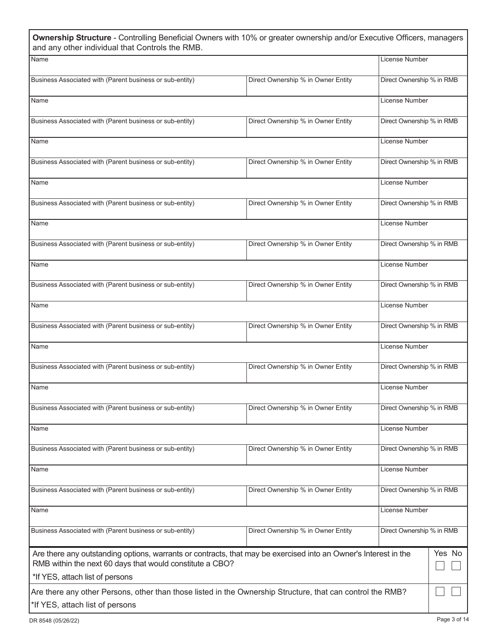| Ownership Structure - Controlling Beneficial Owners with 10% or greater ownership and/or Executive Officers, managers<br>and any other individual that Controls the RMB.    |                                    |                           |        |
|-----------------------------------------------------------------------------------------------------------------------------------------------------------------------------|------------------------------------|---------------------------|--------|
| Name                                                                                                                                                                        |                                    | License Number            |        |
| Business Associated with (Parent business or sub-entity)                                                                                                                    | Direct Ownership % in Owner Entity | Direct Ownership % in RMB |        |
| Name                                                                                                                                                                        |                                    | License Number            |        |
| Business Associated with (Parent business or sub-entity)                                                                                                                    | Direct Ownership % in Owner Entity | Direct Ownership % in RMB |        |
| Name                                                                                                                                                                        |                                    | License Number            |        |
| Business Associated with (Parent business or sub-entity)                                                                                                                    | Direct Ownership % in Owner Entity | Direct Ownership % in RMB |        |
| Name                                                                                                                                                                        |                                    | License Number            |        |
| Business Associated with (Parent business or sub-entity)                                                                                                                    | Direct Ownership % in Owner Entity | Direct Ownership % in RMB |        |
| Name                                                                                                                                                                        |                                    | License Number            |        |
| Business Associated with (Parent business or sub-entity)                                                                                                                    | Direct Ownership % in Owner Entity | Direct Ownership % in RMB |        |
| Name                                                                                                                                                                        |                                    | License Number            |        |
| Business Associated with (Parent business or sub-entity)                                                                                                                    | Direct Ownership % in Owner Entity | Direct Ownership % in RMB |        |
| Name                                                                                                                                                                        |                                    | License Number            |        |
| Business Associated with (Parent business or sub-entity)                                                                                                                    | Direct Ownership % in Owner Entity | Direct Ownership % in RMB |        |
| Name                                                                                                                                                                        |                                    | License Number            |        |
| Business Associated with (Parent business or sub-entity)                                                                                                                    | Direct Ownership % in Owner Entity | Direct Ownership % in RMB |        |
| Name                                                                                                                                                                        |                                    | License Number            |        |
| Business Associated with (Parent business or sub-entity)                                                                                                                    | Direct Ownership % in Owner Entity | Direct Ownership % in RMB |        |
| Name                                                                                                                                                                        |                                    | License Number            |        |
| Business Associated with (Parent business or sub-entity)                                                                                                                    | Direct Ownership % in Owner Entity | Direct Ownership % in RMB |        |
| Name                                                                                                                                                                        |                                    | License Number            |        |
| Business Associated with (Parent business or sub-entity)                                                                                                                    | Direct Ownership % in Owner Entity | Direct Ownership % in RMB |        |
| Name                                                                                                                                                                        |                                    | License Number            |        |
| Business Associated with (Parent business or sub-entity)                                                                                                                    | Direct Ownership % in Owner Entity | Direct Ownership % in RMB |        |
| Are there any outstanding options, warrants or contracts, that may be exercised into an Owner's Interest in the<br>RMB within the next 60 days that would constitute a CBO? |                                    |                           | Yes No |
| *If YES, attach list of persons                                                                                                                                             |                                    |                           |        |
| Are there any other Persons, other than those listed in the Ownership Structure, that can control the RMB?                                                                  |                                    |                           |        |
| *If YES, attach list of persons                                                                                                                                             |                                    |                           |        |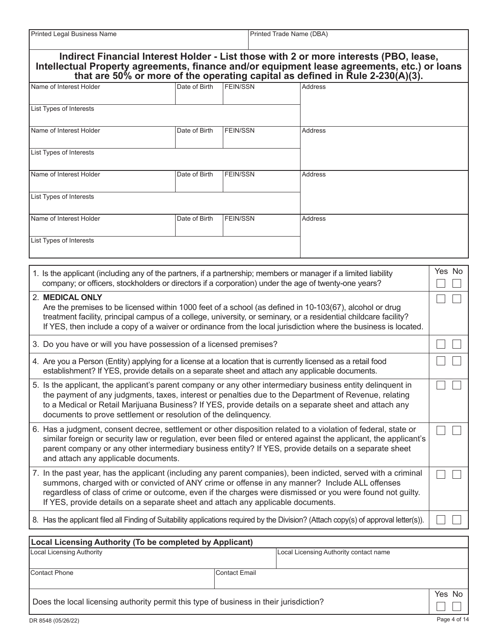| Printed Legal Business Name | Printed Trade Name (DBA) |
|-----------------------------|--------------------------|

|                                                                                                                                                                                                                                                                                                                                                                                                                   |               |                      | Indirect Financial Interest Holder - List those with 2 or more interests (PBO, lease,                                                                                                                                                                                                                                                          |              |  |
|-------------------------------------------------------------------------------------------------------------------------------------------------------------------------------------------------------------------------------------------------------------------------------------------------------------------------------------------------------------------------------------------------------------------|---------------|----------------------|------------------------------------------------------------------------------------------------------------------------------------------------------------------------------------------------------------------------------------------------------------------------------------------------------------------------------------------------|--------------|--|
|                                                                                                                                                                                                                                                                                                                                                                                                                   |               |                      | Intellectual Property agreements, finance and/or equipment lease agreements, etc.) or loans<br>that are 50% or more of the operating capital as defined in Rule 2-230(A)(3).                                                                                                                                                                   |              |  |
| Name of Interest Holder                                                                                                                                                                                                                                                                                                                                                                                           | Date of Birth | <b>FEIN/SSN</b>      | <b>Address</b>                                                                                                                                                                                                                                                                                                                                 |              |  |
| List Types of Interests                                                                                                                                                                                                                                                                                                                                                                                           |               |                      |                                                                                                                                                                                                                                                                                                                                                |              |  |
| Name of Interest Holder                                                                                                                                                                                                                                                                                                                                                                                           | Date of Birth | <b>FEIN/SSN</b>      | <b>Address</b>                                                                                                                                                                                                                                                                                                                                 |              |  |
| List Types of Interests                                                                                                                                                                                                                                                                                                                                                                                           |               |                      |                                                                                                                                                                                                                                                                                                                                                |              |  |
| Name of Interest Holder                                                                                                                                                                                                                                                                                                                                                                                           | Date of Birth | <b>FEIN/SSN</b>      | Address                                                                                                                                                                                                                                                                                                                                        |              |  |
| List Types of Interests                                                                                                                                                                                                                                                                                                                                                                                           |               |                      |                                                                                                                                                                                                                                                                                                                                                |              |  |
| Name of Interest Holder                                                                                                                                                                                                                                                                                                                                                                                           | Date of Birth | <b>FEIN/SSN</b>      | Address                                                                                                                                                                                                                                                                                                                                        |              |  |
| List Types of Interests                                                                                                                                                                                                                                                                                                                                                                                           |               |                      |                                                                                                                                                                                                                                                                                                                                                |              |  |
|                                                                                                                                                                                                                                                                                                                                                                                                                   |               |                      |                                                                                                                                                                                                                                                                                                                                                | Yes No       |  |
| 1. Is the applicant (including any of the partners, if a partnership; members or manager if a limited liability<br>company; or officers, stockholders or directors if a corporation) under the age of twenty-one years?                                                                                                                                                                                           |               |                      |                                                                                                                                                                                                                                                                                                                                                |              |  |
| 2. MEDICAL ONLY                                                                                                                                                                                                                                                                                                                                                                                                   |               |                      | Are the premises to be licensed within 1000 feet of a school (as defined in 10-103(67), alcohol or drug<br>treatment facility, principal campus of a college, university, or seminary, or a residential childcare facility?<br>If YES, then include a copy of a waiver or ordinance from the local jurisdiction where the business is located. |              |  |
| 3. Do you have or will you have possession of a licensed premises?                                                                                                                                                                                                                                                                                                                                                |               |                      |                                                                                                                                                                                                                                                                                                                                                |              |  |
| 4. Are you a Person (Entity) applying for a license at a location that is currently licensed as a retail food<br>establishment? If YES, provide details on a separate sheet and attach any applicable documents.                                                                                                                                                                                                  |               |                      |                                                                                                                                                                                                                                                                                                                                                |              |  |
| 5. Is the applicant, the applicant's parent company or any other intermediary business entity delinquent in<br>the payment of any judgments, taxes, interest or penalties due to the Department of Revenue, relating<br>to a Medical or Retail Marijuana Business? If YES, provide details on a separate sheet and attach any<br>documents to prove settlement or resolution of the delinquency.                  |               |                      |                                                                                                                                                                                                                                                                                                                                                |              |  |
| 6. Has a judgment, consent decree, settlement or other disposition related to a violation of federal, state or<br>similar foreign or security law or regulation, ever been filed or entered against the applicant, the applicant's<br>parent company or any other intermediary business entity? If YES, provide details on a separate sheet<br>and attach any applicable documents.                               |               |                      |                                                                                                                                                                                                                                                                                                                                                |              |  |
| 7. In the past year, has the applicant (including any parent companies), been indicted, served with a criminal<br>summons, charged with or convicted of ANY crime or offense in any manner? Include ALL offenses<br>regardless of class of crime or outcome, even if the charges were dismissed or you were found not guilty.<br>If YES, provide details on a separate sheet and attach any applicable documents. |               |                      |                                                                                                                                                                                                                                                                                                                                                |              |  |
| 8. Has the applicant filed all Finding of Suitability applications required by the Division? (Attach copy(s) of approval letter(s)).                                                                                                                                                                                                                                                                              |               |                      |                                                                                                                                                                                                                                                                                                                                                |              |  |
| <b>Local Licensing Authority (To be completed by Applicant)</b>                                                                                                                                                                                                                                                                                                                                                   |               |                      |                                                                                                                                                                                                                                                                                                                                                |              |  |
| <b>Local Licensing Authority</b>                                                                                                                                                                                                                                                                                                                                                                                  |               |                      | Local Licensing Authority contact name                                                                                                                                                                                                                                                                                                         |              |  |
| <b>Contact Phone</b>                                                                                                                                                                                                                                                                                                                                                                                              |               | <b>Contact Email</b> |                                                                                                                                                                                                                                                                                                                                                |              |  |
| Does the local licensing authority permit this type of business in their jurisdiction?                                                                                                                                                                                                                                                                                                                            |               |                      |                                                                                                                                                                                                                                                                                                                                                | Yes No       |  |
| DR 8548 (05/26/22)                                                                                                                                                                                                                                                                                                                                                                                                |               |                      |                                                                                                                                                                                                                                                                                                                                                | Page 4 of 14 |  |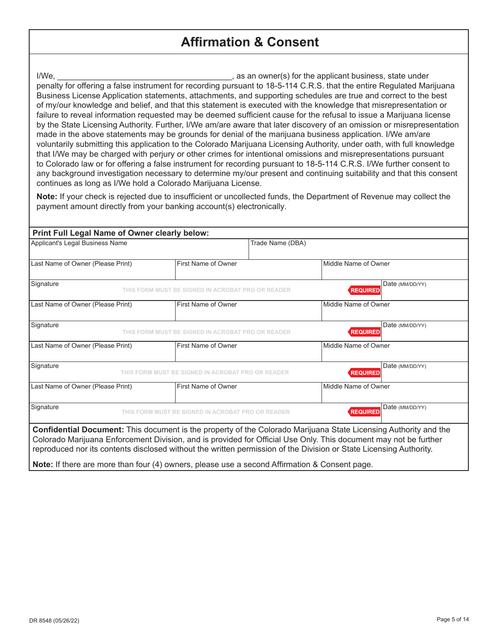## **Affirmation & Consent**

I/We, **I/We,** as an owner(s) for the applicant business, state under penalty for offering a false instrument for recording pursuant to 18-5-114 C.R.S. that the entire Regulated Marijuana Business License Application statements, attachments, and supporting schedules are true and correct to the best of my/our knowledge and belief, and that this statement is executed with the knowledge that misrepresentation or failure to reveal information requested may be deemed sufficient cause for the refusal to issue a Marijuana license by the State Licensing Authority. Further, I/We am/are aware that later discovery of an omission or misrepresentation made in the above statements may be grounds for denial of the marijuana business application. I/We am/are voluntarily submitting this application to the Colorado Marijuana Licensing Authority, under oath, with full knowledge that I/We may be charged with perjury or other crimes for intentional omissions and misrepresentations pursuant to Colorado law or for offering a false instrument for recording pursuant to 18-5-114 C.R.S. I/We further consent to any background investigation necessary to determine my/our present and continuing suitability and that this consent continues as long as I/We hold a Colorado Marijuana License.

**Note:** If your check is rejected due to insufficient or uncollected funds, the Department of Revenue may collect the payment amount directly from your banking account(s) electronically.

| Print Full Legal Name of Owner clearly below:                                                                                                                                                                                                                                                                                                              |                                                   |                                    |  |  |  |
|------------------------------------------------------------------------------------------------------------------------------------------------------------------------------------------------------------------------------------------------------------------------------------------------------------------------------------------------------------|---------------------------------------------------|------------------------------------|--|--|--|
| Applicant's Legal Business Name                                                                                                                                                                                                                                                                                                                            |                                                   | Trade Name (DBA)                   |  |  |  |
| Last Name of Owner (Please Print)                                                                                                                                                                                                                                                                                                                          | First Name of Owner                               | Middle Name of Owner               |  |  |  |
| Signature                                                                                                                                                                                                                                                                                                                                                  | THIS FORM MUST BE SIGNED IN ACROBAT PRO OR READER | Date (MM/DD/YY)<br><b>REQUIRED</b> |  |  |  |
| Last Name of Owner (Please Print)                                                                                                                                                                                                                                                                                                                          | First Name of Owner                               | Middle Name of Owner               |  |  |  |
| Signature                                                                                                                                                                                                                                                                                                                                                  | THIS FORM MUST BE SIGNED IN ACROBAT PRO OR READER | Date (MM/DD/YY)<br><b>REQUIRED</b> |  |  |  |
| Last Name of Owner (Please Print)                                                                                                                                                                                                                                                                                                                          | First Name of Owner                               | Middle Name of Owner               |  |  |  |
| Signature                                                                                                                                                                                                                                                                                                                                                  | THIS FORM MUST BE SIGNED IN ACROBAT PRO OR READER | Date (MM/DD/YY)<br><b>REQUIRED</b> |  |  |  |
| Last Name of Owner (Please Print)                                                                                                                                                                                                                                                                                                                          | First Name of Owner                               | Middle Name of Owner               |  |  |  |
| Signature<br>Date (MM/DD/YY)<br><b>REQUIRED</b><br>THIS FORM MUST BE SIGNED IN ACROBAT PRO OR READER                                                                                                                                                                                                                                                       |                                                   |                                    |  |  |  |
| Confidential Document: This document is the property of the Colorado Marijuana State Licensing Authority and the<br>Colorado Marijuana Enforcement Division, and is provided for Official Use Only. This document may not be further<br>reproduced nor its contents disclosed without the written permission of the Division or State Licensing Authority. |                                                   |                                    |  |  |  |
| Note: If there are more than four (4) owners, please use a second Affirmation & Consent page.                                                                                                                                                                                                                                                              |                                                   |                                    |  |  |  |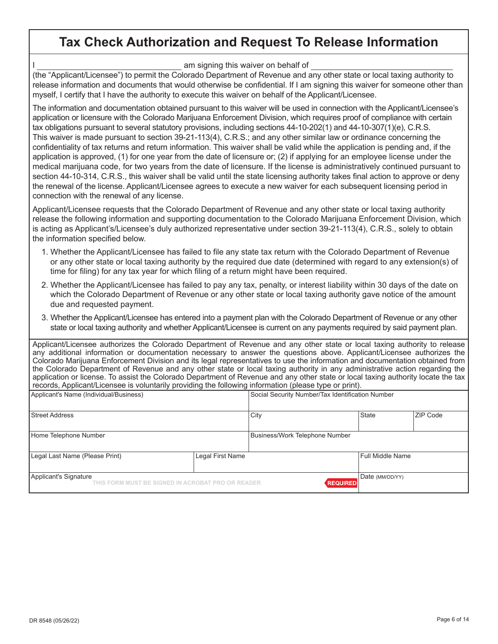# **Tax Check Authorization and Request To Release Information**

I am signing this waiver on behalf of

(the "Applicant/Licensee") to permit the Colorado Department of Revenue and any other state or local taxing authority to release information and documents that would otherwise be confidential. If I am signing this waiver for someone other than myself, I certify that I have the authority to execute this waiver on behalf of the Applicant/Licensee.

The information and documentation obtained pursuant to this waiver will be used in connection with the Applicant/Licensee's application or licensure with the Colorado Marijuana Enforcement Division, which requires proof of compliance with certain tax obligations pursuant to several statutory provisions, including sections 44-10-202(1) and 44-10-307(1)(e), C.R.S. This waiver is made pursuant to section 39-21-113(4), C.R.S.; and any other similar law or ordinance concerning the confidentiality of tax returns and return information. This waiver shall be valid while the application is pending and, if the application is approved, (1) for one year from the date of licensure or; (2) if applying for an employee license under the medical marijuana code, for two years from the date of licensure. If the license is administratively continued pursuant to section 44-10-314, C.R.S., this waiver shall be valid until the state licensing authority takes final action to approve or deny the renewal of the license. Applicant/Licensee agrees to execute a new waiver for each subsequent licensing period in connection with the renewal of any license.

Applicant/Licensee requests that the Colorado Department of Revenue and any other state or local taxing authority release the following information and supporting documentation to the Colorado Marijuana Enforcement Division, which is acting as Applicant's/Licensee's duly authorized representative under section 39-21-113(4), C.R.S., solely to obtain the information specified below.

- 1. Whether the Applicant/Licensee has failed to file any state tax return with the Colorado Department of Revenue or any other state or local taxing authority by the required due date (determined with regard to any extension(s) of time for filing) for any tax year for which filing of a return might have been required.
- 2. Whether the Applicant/Licensee has failed to pay any tax, penalty, or interest liability within 30 days of the date on which the Colorado Department of Revenue or any other state or local taxing authority gave notice of the amount due and requested payment.
- 3. Whether the Applicant/Licensee has entered into a payment plan with the Colorado Department of Revenue or any other state or local taxing authority and whether Applicant/Licensee is current on any payments required by said payment plan.

| Applicant/Licensee authorizes the Colorado Department of Revenue and any other state or local taxing authority to release         |
|-----------------------------------------------------------------------------------------------------------------------------------|
| any additional information or documentation necessary to answer the questions above. Applicant/Licensee authorizes the            |
| Colorado Marijuana Enforcement Division and its legal representatives to use the information and documentation obtained from      |
| the Colorado Department of Revenue and any other state or local taxing authority in any administrative action regarding the       |
| application or license. To assist the Colorado Department of Revenue and any other state or local taxing authority locate the tax |
| records, Applicant/Licensee is voluntarily providing the following information (please type or print).                            |

| Applicant's Name (Individual/Business)                                     | Social Security Number/Tax Identification Number |                  |              |          |
|----------------------------------------------------------------------------|--------------------------------------------------|------------------|--------------|----------|
| Street Address                                                             |                                                  | City             | <b>State</b> | ZIP Code |
| Home Telephone Number                                                      | Business/Work Telephone Number                   |                  |              |          |
| Legal Last Name (Please Print)                                             |                                                  | Full Middle Name |              |          |
| Applicant's Signature<br>THIS FORM MUST BE SIGNED IN ACROBAT PRO OR READER | <b>REQUIRED</b>                                  | Date (MM/DD/YY)  |              |          |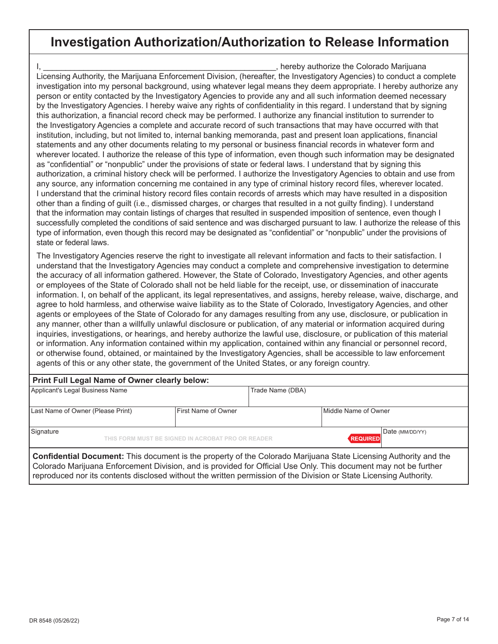## **Investigation Authorization/Authorization to Release Information**

I, \_\_\_\_\_\_\_\_\_\_\_\_\_\_\_\_\_\_\_\_\_\_\_\_\_\_\_\_\_\_\_\_\_\_\_\_\_\_\_\_\_\_\_\_\_\_\_\_\_\_\_\_, hereby authorize the Colorado Marijuana Licensing Authority, the Marijuana Enforcement Division, (hereafter, the Investigatory Agencies) to conduct a complete investigation into my personal background, using whatever legal means they deem appropriate. I hereby authorize any person or entity contacted by the Investigatory Agencies to provide any and all such information deemed necessary by the Investigatory Agencies. I hereby waive any rights of confidentiality in this regard. I understand that by signing this authorization, a financial record check may be performed. I authorize any financial institution to surrender to the Investigatory Agencies a complete and accurate record of such transactions that may have occurred with that institution, including, but not limited to, internal banking memoranda, past and present loan applications, financial statements and any other documents relating to my personal or business financial records in whatever form and wherever located. I authorize the release of this type of information, even though such information may be designated as "confidential" or "nonpublic" under the provisions of state or federal laws. I understand that by signing this authorization, a criminal history check will be performed. I authorize the Investigatory Agencies to obtain and use from any source, any information concerning me contained in any type of criminal history record files, wherever located. I understand that the criminal history record files contain records of arrests which may have resulted in a disposition other than a finding of guilt (i.e., dismissed charges, or charges that resulted in a not guilty finding). I understand that the information may contain listings of charges that resulted in suspended imposition of sentence, even though I successfully completed the conditions of said sentence and was discharged pursuant to law. I authorize the release of this type of information, even though this record may be designated as "confidential" or "nonpublic" under the provisions of state or federal laws.

The Investigatory Agencies reserve the right to investigate all relevant information and facts to their satisfaction. I understand that the Investigatory Agencies may conduct a complete and comprehensive investigation to determine the accuracy of all information gathered. However, the State of Colorado, Investigatory Agencies, and other agents or employees of the State of Colorado shall not be held liable for the receipt, use, or dissemination of inaccurate information. I, on behalf of the applicant, its legal representatives, and assigns, hereby release, waive, discharge, and agree to hold harmless, and otherwise waive liability as to the State of Colorado, Investigatory Agencies, and other agents or employees of the State of Colorado for any damages resulting from any use, disclosure, or publication in any manner, other than a willfully unlawful disclosure or publication, of any material or information acquired during inquiries, investigations, or hearings, and hereby authorize the lawful use, disclosure, or publication of this material or information. Any information contained within my application, contained within any financial or personnel record, or otherwise found, obtained, or maintained by the Investigatory Agencies, shall be accessible to law enforcement agents of this or any other state, the government of the United States, or any foreign country.

| Print Full Legal Name of Owner clearly below:                                                                           |                     |                  |                      |  |  |  |
|-------------------------------------------------------------------------------------------------------------------------|---------------------|------------------|----------------------|--|--|--|
| Applicant's Legal Business Name                                                                                         |                     | Trade Name (DBA) |                      |  |  |  |
| Last Name of Owner (Please Print)                                                                                       | First Name of Owner |                  | Middle Name of Owner |  |  |  |
| Signature<br>Date (MM/DD/YY)<br>THIS FORM MUST BE SIGNED IN ACROBAT PRO OR READER<br><b>REQUIRED</b>                    |                     |                  |                      |  |  |  |
| <b>Confidential Document:</b> This document is the property of the Colorado Marijuana State Licensing Authority and the |                     |                  |                      |  |  |  |

Colorado Marijuana Enforcement Division, and is provided for Official Use Only. This document may not be further reproduced nor its contents disclosed without the written permission of the Division or State Licensing Authority.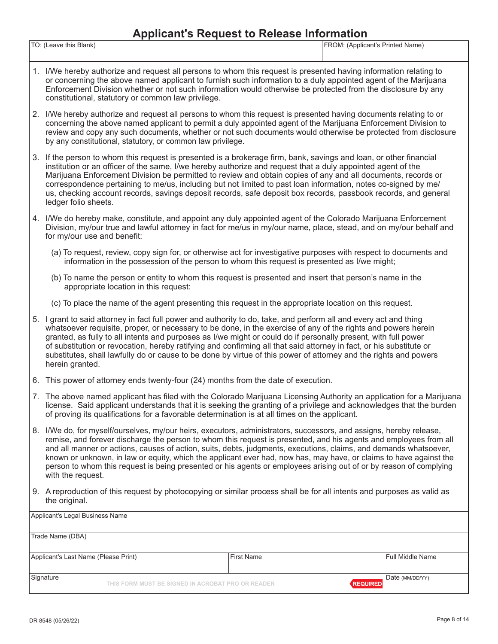#### **Applicant's Request to Release Information**

| TO:<br>eave this Blank) | FROM:<br>Printed Name<br>: (Applicant's i |
|-------------------------|-------------------------------------------|
|                         |                                           |
|                         |                                           |

- 1. I/We hereby authorize and request all persons to whom this request is presented having information relating to or concerning the above named applicant to furnish such information to a duly appointed agent of the Marijuana Enforcement Division whether or not such information would otherwise be protected from the disclosure by any constitutional, statutory or common law privilege.
- 2. I/We hereby authorize and request all persons to whom this request is presented having documents relating to or concerning the above named applicant to permit a duly appointed agent of the Marijuana Enforcement Division to review and copy any such documents, whether or not such documents would otherwise be protected from disclosure by any constitutional, statutory, or common law privilege.
- 3. If the person to whom this request is presented is a brokerage firm, bank, savings and loan, or other financial institution or an officer of the same, I/we hereby authorize and request that a duly appointed agent of the Marijuana Enforcement Division be permitted to review and obtain copies of any and all documents, records or correspondence pertaining to me/us, including but not limited to past loan information, notes co-signed by me/ us, checking account records, savings deposit records, safe deposit box records, passbook records, and general ledger folio sheets.
- 4. I/We do hereby make, constitute, and appoint any duly appointed agent of the Colorado Marijuana Enforcement Division, my/our true and lawful attorney in fact for me/us in my/our name, place, stead, and on my/our behalf and for my/our use and benefit:
	- (a) To request, review, copy sign for, or otherwise act for investigative purposes with respect to documents and information in the possession of the person to whom this request is presented as I/we might;
	- (b) To name the person or entity to whom this request is presented and insert that person's name in the appropriate location in this request:
	- (c) To place the name of the agent presenting this request in the appropriate location on this request.
- 5. I grant to said attorney in fact full power and authority to do, take, and perform all and every act and thing whatsoever requisite, proper, or necessary to be done, in the exercise of any of the rights and powers herein granted, as fully to all intents and purposes as I/we might or could do if personally present, with full power of substitution or revocation, hereby ratifying and confirming all that said attorney in fact, or his substitute or substitutes, shall lawfully do or cause to be done by virtue of this power of attorney and the rights and powers herein granted.
- 6. This power of attorney ends twenty-four (24) months from the date of execution.
- 7. The above named applicant has filed with the Colorado Marijuana Licensing Authority an application for a Marijuana license. Said applicant understands that it is seeking the granting of a privilege and acknowledges that the burden of proving its qualifications for a favorable determination is at all times on the applicant.
- 8. I/We do, for myself/ourselves, my/our heirs, executors, administrators, successors, and assigns, hereby release, remise, and forever discharge the person to whom this request is presented, and his agents and employees from all and all manner or actions, causes of action, suits, debts, judgments, executions, claims, and demands whatsoever, known or unknown, in law or equity, which the applicant ever had, now has, may have, or claims to have against the person to whom this request is being presented or his agents or employees arising out of or by reason of complying with the request.
- 9. A reproduction of this request by photocopying or similar process shall be for all intents and purposes as valid as the original.

| Applicant's Legal Business Name      |                                                   |                   |                                    |
|--------------------------------------|---------------------------------------------------|-------------------|------------------------------------|
| Trade Name (DBA)                     |                                                   |                   |                                    |
| Applicant's Last Name (Please Print) |                                                   | <b>First Name</b> | Full Middle Name                   |
| Signature                            | THIS FORM MUST BE SIGNED IN ACROBAT PRO OR READER |                   | Date (MM/DD/YY)<br><b>REQUIRED</b> |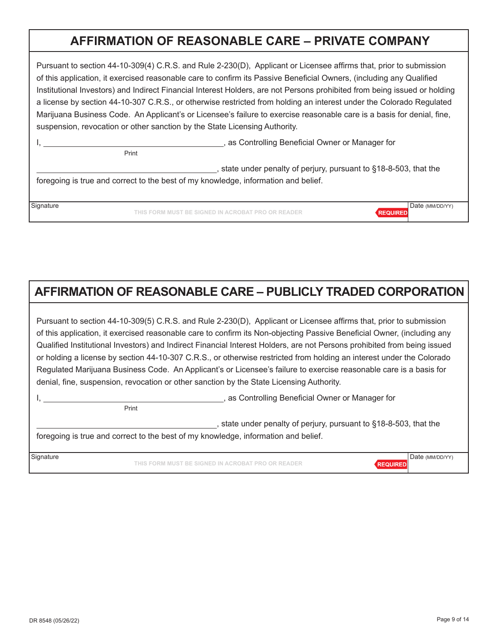## **AFFIRMATION OF REASONABLE CARE – PRIVATE COMPANY**

Pursuant to section 44-10-309(4) C.R.S. and Rule 2-230(D), Applicant or Licensee affirms that, prior to submission of this application, it exercised reasonable care to confirm its Passive Beneficial Owners, (including any Qualified Institutional Investors) and Indirect Financial Interest Holders, are not Persons prohibited from being issued or holding a license by section 44-10-307 C.R.S., or otherwise restricted from holding an interest under the Colorado Regulated Marijuana Business Code. An Applicant's or Licensee's failure to exercise reasonable care is a basis for denial, fine, suspension, revocation or other sanction by the State Licensing Authority.

|           | Print | , as Controlling Beneficial Owner or Manager for                                                                                                      |                                    |  |
|-----------|-------|-------------------------------------------------------------------------------------------------------------------------------------------------------|------------------------------------|--|
|           |       | state under penalty of perjury, pursuant to §18-8-503, that the<br>foregoing is true and correct to the best of my knowledge, information and belief. |                                    |  |
|           |       |                                                                                                                                                       |                                    |  |
| Signature |       | THIS FORM MUST BE SIGNED IN ACROBAT PRO OR READER                                                                                                     | Date (MM/DD/YY)<br><b>REQUIRED</b> |  |

# **AFFIRMATION OF REASONABLE CARE – PUBLICLY TRADED CORPORATION**

Pursuant to section 44-10-309(5) C.R.S. and Rule 2-230(D), Applicant or Licensee affirms that, prior to submission of this application, it exercised reasonable care to confirm its Non-objecting Passive Beneficial Owner, (including any Qualified Institutional Investors) and Indirect Financial Interest Holders, are not Persons prohibited from being issued or holding a license by section 44-10-307 C.R.S., or otherwise restricted from holding an interest under the Colorado Regulated Marijuana Business Code. An Applicant's or Licensee's failure to exercise reasonable care is a basis for denial, fine, suspension, revocation or other sanction by the State Licensing Authority.

Print

I, **All any Controlling Beneficial Owner or Manager for** extending Beneficial Owner or Manager for

, state under penalty of perjury, pursuant to §18-8-503, that the foregoing is true and correct to the best of my knowledge, information and belief.

**THIS FORM MUST BE SIGNED IN ACROBAT PRO OR READER** Signature **Date (MM/DD/YY)** National Date (MM/DD/YY)

DR 8548 (05/26/22) Page 9 of 14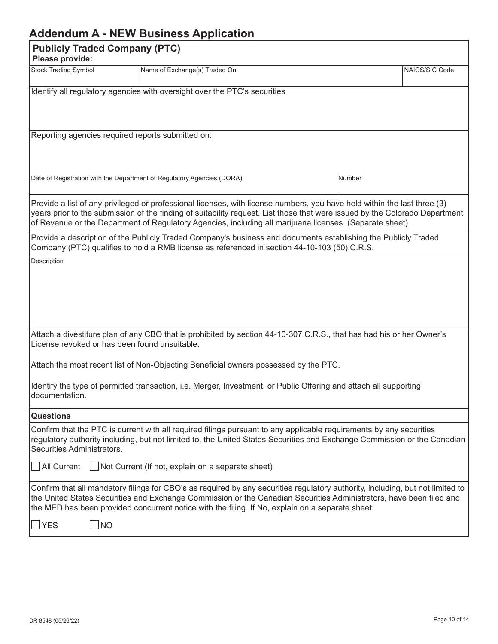## **Addendum A - NEW Business Application**

|                                                                                                                                                                                                                                                                                                                                                           | Augulium A - NEW Dusiness Application                                                                                                                                                                                                                                                                                                                              |  |        |                |  |
|-----------------------------------------------------------------------------------------------------------------------------------------------------------------------------------------------------------------------------------------------------------------------------------------------------------------------------------------------------------|--------------------------------------------------------------------------------------------------------------------------------------------------------------------------------------------------------------------------------------------------------------------------------------------------------------------------------------------------------------------|--|--------|----------------|--|
| Please provide:                                                                                                                                                                                                                                                                                                                                           | <b>Publicly Traded Company (PTC)</b>                                                                                                                                                                                                                                                                                                                               |  |        |                |  |
| <b>Stock Trading Symbol</b>                                                                                                                                                                                                                                                                                                                               | Name of Exchange(s) Traded On                                                                                                                                                                                                                                                                                                                                      |  |        | NAICS/SIC Code |  |
|                                                                                                                                                                                                                                                                                                                                                           | Identify all regulatory agencies with oversight over the PTC's securities                                                                                                                                                                                                                                                                                          |  |        |                |  |
| Reporting agencies required reports submitted on:                                                                                                                                                                                                                                                                                                         |                                                                                                                                                                                                                                                                                                                                                                    |  |        |                |  |
| Date of Registration with the Department of Regulatory Agencies (DORA)                                                                                                                                                                                                                                                                                    |                                                                                                                                                                                                                                                                                                                                                                    |  | Number |                |  |
|                                                                                                                                                                                                                                                                                                                                                           | Provide a list of any privileged or professional licenses, with license numbers, you have held within the last three (3)<br>years prior to the submission of the finding of suitability request. List those that were issued by the Colorado Department<br>of Revenue or the Department of Regulatory Agencies, including all marijuana licenses. (Separate sheet) |  |        |                |  |
| Provide a description of the Publicly Traded Company's business and documents establishing the Publicly Traded<br>Company (PTC) qualifies to hold a RMB license as referenced in section 44-10-103 (50) C.R.S.                                                                                                                                            |                                                                                                                                                                                                                                                                                                                                                                    |  |        |                |  |
|                                                                                                                                                                                                                                                                                                                                                           |                                                                                                                                                                                                                                                                                                                                                                    |  |        |                |  |
| Attach a divestiture plan of any CBO that is prohibited by section 44-10-307 C.R.S., that has had his or her Owner's<br>License revoked or has been found unsuitable.                                                                                                                                                                                     |                                                                                                                                                                                                                                                                                                                                                                    |  |        |                |  |
| Attach the most recent list of Non-Objecting Beneficial owners possessed by the PTC.                                                                                                                                                                                                                                                                      |                                                                                                                                                                                                                                                                                                                                                                    |  |        |                |  |
| Identify the type of permitted transaction, i.e. Merger, Investment, or Public Offering and attach all supporting<br>documentation.                                                                                                                                                                                                                       |                                                                                                                                                                                                                                                                                                                                                                    |  |        |                |  |
| <b>Questions</b>                                                                                                                                                                                                                                                                                                                                          |                                                                                                                                                                                                                                                                                                                                                                    |  |        |                |  |
| Confirm that the PTC is current with all required filings pursuant to any applicable requirements by any securities<br>regulatory authority including, but not limited to, the United States Securities and Exchange Commission or the Canadian<br>Securities Administrators.                                                                             |                                                                                                                                                                                                                                                                                                                                                                    |  |        |                |  |
| All Current                                                                                                                                                                                                                                                                                                                                               | $\Box$ Not Current (If not, explain on a separate sheet)                                                                                                                                                                                                                                                                                                           |  |        |                |  |
| Confirm that all mandatory filings for CBO's as required by any securities regulatory authority, including, but not limited to<br>the United States Securities and Exchange Commission or the Canadian Securities Administrators, have been filed and<br>the MED has been provided concurrent notice with the filing. If No, explain on a separate sheet: |                                                                                                                                                                                                                                                                                                                                                                    |  |        |                |  |
| $\mathsf{\rpreceq}$ YES<br>$\sqcup$ NO                                                                                                                                                                                                                                                                                                                    |                                                                                                                                                                                                                                                                                                                                                                    |  |        |                |  |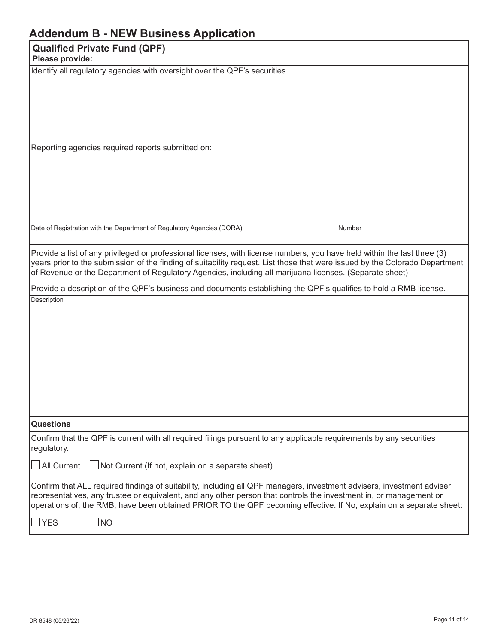| <b>Addendum B - NEW Business Application</b>                                                                                                                                                                                                                                                                                                                                                            |        |  |
|---------------------------------------------------------------------------------------------------------------------------------------------------------------------------------------------------------------------------------------------------------------------------------------------------------------------------------------------------------------------------------------------------------|--------|--|
| <b>Qualified Private Fund (QPF)</b><br>Please provide:                                                                                                                                                                                                                                                                                                                                                  |        |  |
| Identify all regulatory agencies with oversight over the QPF's securities                                                                                                                                                                                                                                                                                                                               |        |  |
| Reporting agencies required reports submitted on:                                                                                                                                                                                                                                                                                                                                                       |        |  |
| Date of Registration with the Department of Regulatory Agencies (DORA)                                                                                                                                                                                                                                                                                                                                  | Number |  |
| Provide a list of any privileged or professional licenses, with license numbers, you have held within the last three (3)<br>years prior to the submission of the finding of suitability request. List those that were issued by the Colorado Department<br>of Revenue or the Department of Regulatory Agencies, including all marijuana licenses. (Separate sheet)                                      |        |  |
| Provide a description of the QPF's business and documents establishing the QPF's qualifies to hold a RMB license.                                                                                                                                                                                                                                                                                       |        |  |
| Description                                                                                                                                                                                                                                                                                                                                                                                             |        |  |
| <b>Questions</b>                                                                                                                                                                                                                                                                                                                                                                                        |        |  |
| Confirm that the QPF is current with all required filings pursuant to any applicable requirements by any securities<br>regulatory.<br>$\Box$ Not Current (If not, explain on a separate sheet)<br>All Current                                                                                                                                                                                           |        |  |
| Confirm that ALL required findings of suitability, including all QPF managers, investment advisers, investment adviser<br>representatives, any trustee or equivalent, and any other person that controls the investment in, or management or<br>operations of, the RMB, have been obtained PRIOR TO the QPF becoming effective. If No, explain on a separate sheet:<br>$\sqrt{\text{NO}}$<br><b>YES</b> |        |  |
|                                                                                                                                                                                                                                                                                                                                                                                                         |        |  |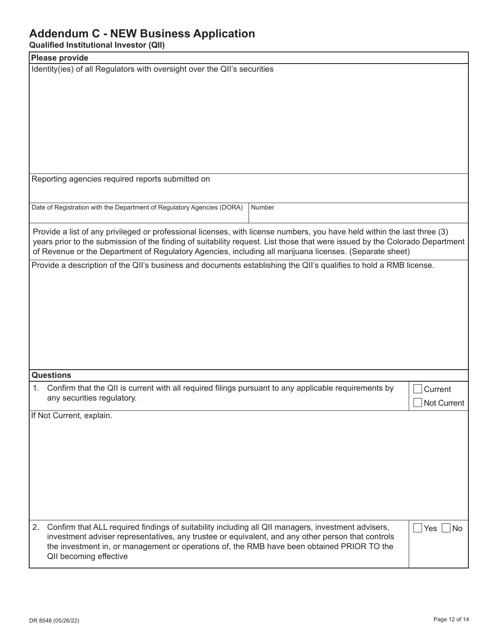### **Addendum C - NEW Business Application**

**Qualified Institutional Investor (QII)**

| annoa mottational inteotoi (an                                                                                              |                        |
|-----------------------------------------------------------------------------------------------------------------------------|------------------------|
| Please provide                                                                                                              |                        |
| Identity(ies) of all Regulators with oversight over the QII's securities                                                    |                        |
|                                                                                                                             |                        |
|                                                                                                                             |                        |
|                                                                                                                             |                        |
|                                                                                                                             |                        |
|                                                                                                                             |                        |
|                                                                                                                             |                        |
|                                                                                                                             |                        |
|                                                                                                                             |                        |
| Reporting agencies required reports submitted on                                                                            |                        |
|                                                                                                                             |                        |
|                                                                                                                             |                        |
| Date of Registration with the Department of Regulatory Agencies (DORA)<br>Number                                            |                        |
|                                                                                                                             |                        |
| Provide a list of any privileged or professional licenses, with license numbers, you have held within the last three (3)    |                        |
| years prior to the submission of the finding of suitability request. List those that were issued by the Colorado Department |                        |
| of Revenue or the Department of Regulatory Agencies, including all marijuana licenses. (Separate sheet)                     |                        |
| Provide a description of the QII's business and documents establishing the QII's qualifies to hold a RMB license.           |                        |
|                                                                                                                             |                        |
|                                                                                                                             |                        |
|                                                                                                                             |                        |
|                                                                                                                             |                        |
|                                                                                                                             |                        |
|                                                                                                                             |                        |
|                                                                                                                             |                        |
|                                                                                                                             |                        |
| <b>Questions</b>                                                                                                            |                        |
|                                                                                                                             |                        |
| Confirm that the QII is current with all required filings pursuant to any applicable requirements by<br>1.                  | Current                |
| any securities regulatory.                                                                                                  | Not Current            |
| If Not Current, explain.                                                                                                    |                        |
|                                                                                                                             |                        |
|                                                                                                                             |                        |
|                                                                                                                             |                        |
|                                                                                                                             |                        |
|                                                                                                                             |                        |
|                                                                                                                             |                        |
|                                                                                                                             |                        |
|                                                                                                                             |                        |
|                                                                                                                             |                        |
| 2.<br>Confirm that ALL required findings of suitability including all QII managers, investment advisers,                    | $\vert$ Yes $\vert$ No |
| investment adviser representatives, any trustee or equivalent, and any other person that controls                           |                        |
| the investment in, or management or operations of, the RMB have been obtained PRIOR TO the                                  |                        |
| QII becoming effective                                                                                                      |                        |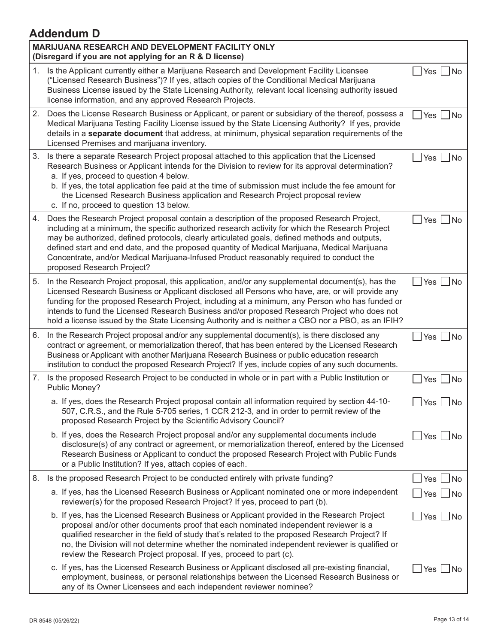# **Addendum D**

| MARIJUANA RESEARCH AND DEVELOPMENT FACILITY ONLY<br>(Disregard if you are not applying for an R & D license) |                                                                                                                                                                                                                                                                                                                                                                                                                                                                                                                            |                                 |  |  |
|--------------------------------------------------------------------------------------------------------------|----------------------------------------------------------------------------------------------------------------------------------------------------------------------------------------------------------------------------------------------------------------------------------------------------------------------------------------------------------------------------------------------------------------------------------------------------------------------------------------------------------------------------|---------------------------------|--|--|
| 1.                                                                                                           | Is the Applicant currently either a Marijuana Research and Development Facility Licensee<br>("Licensed Research Business")? If yes, attach copies of the Conditional Medical Marijuana<br>Business License issued by the State Licensing Authority, relevant local licensing authority issued<br>license information, and any approved Research Projects.                                                                                                                                                                  | Yes   No                        |  |  |
|                                                                                                              | 2. Does the License Research Business or Applicant, or parent or subsidiary of the thereof, possess a<br>Medical Marijuana Testing Facility License issued by the State Licensing Authority? If yes, provide<br>details in a separate document that address, at minimum, physical separation requirements of the<br>Licensed Premises and marijuana inventory.                                                                                                                                                             | $Yes \Box No$                   |  |  |
| 3.                                                                                                           | Is there a separate Research Project proposal attached to this application that the Licensed<br>Research Business or Applicant intends for the Division to review for its approval determination?<br>a. If yes, proceed to question 4 below.<br>b. If yes, the total application fee paid at the time of submission must include the fee amount for<br>the Licensed Research Business application and Research Project proposal review<br>c. If no, proceed to question 13 below.                                          | Yes $\Box$ No                   |  |  |
| 4.                                                                                                           | Does the Research Project proposal contain a description of the proposed Research Project,<br>including at a minimum, the specific authorized research activity for which the Research Project<br>may be authorized, defined protocols, clearly articulated goals, defined methods and outputs,<br>defined start and end date, and the proposed quantity of Medical Marijuana, Medical Marijuana<br>Concentrate, and/or Medical Marijuana-Infused Product reasonably required to conduct the<br>proposed Research Project? | $\overline{\mathsf{No}}$<br>Yes |  |  |
| 5.                                                                                                           | In the Research Project proposal, this application, and/or any supplemental document(s), has the<br>Licensed Research Business or Applicant disclosed all Persons who have, are, or will provide any<br>funding for the proposed Research Project, including at a minimum, any Person who has funded or<br>intends to fund the Licensed Research Business and/or proposed Research Project who does not<br>hold a license issued by the State Licensing Authority and is neither a CBO nor a PBO, as an IFIH?              | $Yes \Box No$                   |  |  |
| 6.                                                                                                           | In the Research Project proposal and/or any supplemental document(s), is there disclosed any<br>contract or agreement, or memorialization thereof, that has been entered by the Licensed Research<br>Business or Applicant with another Marijuana Research Business or public education research<br>institution to conduct the proposed Research Project? If yes, include copies of any such documents.                                                                                                                    | $\Box$ No<br>Yes $\vert$        |  |  |
|                                                                                                              | 7. Is the proposed Research Project to be conducted in whole or in part with a Public Institution or<br>Public Money?                                                                                                                                                                                                                                                                                                                                                                                                      | Yes $\Box$ No                   |  |  |
|                                                                                                              | a. If yes, does the Research Project proposal contain all information required by section 44-10-<br>507, C.R.S., and the Rule 5-705 series, 1 CCR 212-3, and in order to permit review of the<br>proposed Research Project by the Scientific Advisory Council?                                                                                                                                                                                                                                                             | Yes $\lfloor$<br>$\Box$ No      |  |  |
|                                                                                                              | b. If yes, does the Research Project proposal and/or any supplemental documents include<br>disclosure(s) of any contract or agreement, or memorialization thereof, entered by the Licensed<br>Research Business or Applicant to conduct the proposed Research Project with Public Funds<br>or a Public Institution? If yes, attach copies of each.                                                                                                                                                                         | Yes ∐No                         |  |  |
| 8.                                                                                                           | Is the proposed Research Project to be conducted entirely with private funding?                                                                                                                                                                                                                                                                                                                                                                                                                                            | Yes $\Box$ No                   |  |  |
|                                                                                                              | a. If yes, has the Licensed Research Business or Applicant nominated one or more independent<br>reviewer(s) for the proposed Research Project? If yes, proceed to part (b).                                                                                                                                                                                                                                                                                                                                                | $\vert$ Yes $\vert$ No          |  |  |
|                                                                                                              | b. If yes, has the Licensed Research Business or Applicant provided in the Research Project<br>proposal and/or other documents proof that each nominated independent reviewer is a<br>qualified researcher in the field of study that's related to the proposed Research Project? If<br>no, the Division will not determine whether the nominated independent reviewer is qualified or<br>review the Research Project proposal. If yes, proceed to part (c).                                                               | $Yes \Box No$                   |  |  |
|                                                                                                              | c. If yes, has the Licensed Research Business or Applicant disclosed all pre-existing financial,<br>employment, business, or personal relationships between the Licensed Research Business or<br>any of its Owner Licensees and each independent reviewer nominee?                                                                                                                                                                                                                                                         | Yes $\Box$ No                   |  |  |